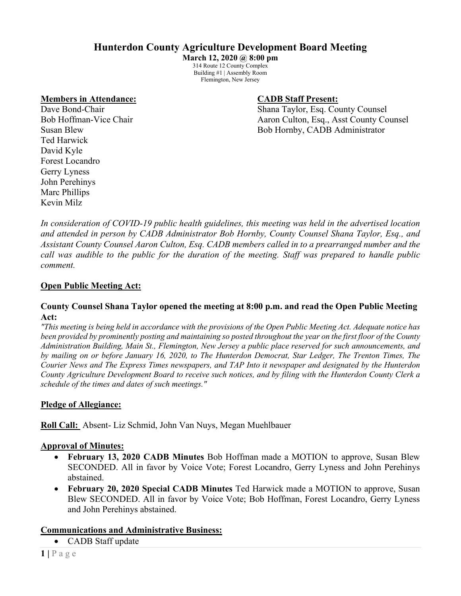# **Hunterdon County Agriculture Development Board Meeting**

**March 12, 2020 @ 8:00 pm** 314 Route 12 County Complex Building #1 | Assembly Room Flemington, New Jersey

## **Members in Attendance: CADB Staff Present:**

Dave Bond-Chair **Shana Taylor, Esq. County Counsel** Bob Hoffman-Vice Chair Aaron Culton, Esq., Asst County Counsel Susan Blew Bob Hornby, CADB Administrator

Ted Harwick David Kyle Forest Locandro Gerry Lyness John Perehinys Marc Phillips Kevin Milz

*In consideration of COVID-19 public health guidelines, this meeting was held in the advertised location and attended in person by CADB Administrator Bob Hornby, County Counsel Shana Taylor, Esq., and Assistant County Counsel Aaron Culton, Esq. CADB members called in to a prearranged number and the call was audible to the public for the duration of the meeting. Staff was prepared to handle public comment.*

## **Open Public Meeting Act:**

## **County Counsel Shana Taylor opened the meeting at 8:00 p.m. and read the Open Public Meeting Act:**

*"This meeting is being held in accordance with the provisions of the Open Public Meeting Act. Adequate notice has been provided by prominently posting and maintaining so posted throughout the year on the first floor of the County Administration Building, Main St., Flemington, New Jersey a public place reserved for such announcements, and by mailing on or before January 16, 2020, to The Hunterdon Democrat, Star Ledger, The Trenton Times, The Courier News and The Express Times newspapers, and TAP Into it newspaper and designated by the Hunterdon County Agriculture Development Board to receive such notices, and by filing with the Hunterdon County Clerk a schedule of the times and dates of such meetings."*

## **Pledge of Allegiance:**

**Roll Call:** Absent- Liz Schmid, John Van Nuys, Megan Muehlbauer

## **Approval of Minutes:**

- **February 13, 2020 CADB Minutes** Bob Hoffman made a MOTION to approve, Susan Blew SECONDED. All in favor by Voice Vote; Forest Locandro, Gerry Lyness and John Perehinys abstained.
- **February 20, 2020 Special CADB Minutes** Ted Harwick made a MOTION to approve, Susan Blew SECONDED. All in favor by Voice Vote; Bob Hoffman, Forest Locandro, Gerry Lyness and John Perehinys abstained.

## **Communications and Administrative Business:**

• CADB Staff update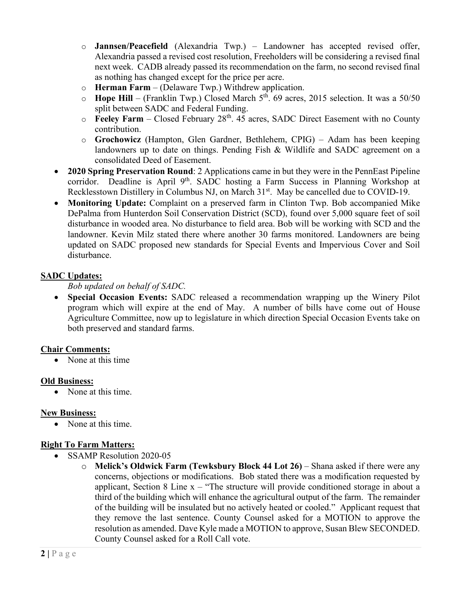- o **Jannsen/Peacefield** (Alexandria Twp.) Landowner has accepted revised offer, Alexandria passed a revised cost resolution, Freeholders will be considering a revised final next week. CADB already passed its recommendation on the farm, no second revised final as nothing has changed except for the price per acre.
- o **Herman Farm** (Delaware Twp.) Withdrew application.
- o **Hope Hill**  (Franklin Twp.) Closed March 5th. 69 acres, 2015 selection. It was a 50/50 split between SADC and Federal Funding.
- o **Feeley Farm**  Closed February 28th. 45 acres, SADC Direct Easement with no County contribution.
- o **Grochowicz** (Hampton, Glen Gardner, Bethlehem, CPIG) Adam has been keeping landowners up to date on things. Pending Fish & Wildlife and SADC agreement on a consolidated Deed of Easement.
- **2020 Spring Preservation Round**: 2 Applications came in but they were in the PennEast Pipeline corridor. Deadline is April  $9<sup>th</sup>$ . SADC hosting a Farm Success in Planning Workshop at Recklesstown Distillery in Columbus NJ, on March 31<sup>st</sup>. May be cancelled due to COVID-19.
- **Monitoring Update:** Complaint on a preserved farm in Clinton Twp. Bob accompanied Mike DePalma from Hunterdon Soil Conservation District (SCD), found over 5,000 square feet of soil disturbance in wooded area. No disturbance to field area. Bob will be working with SCD and the landowner. Kevin Milz stated there where another 30 farms monitored. Landowners are being updated on SADC proposed new standards for Special Events and Impervious Cover and Soil disturbance.

## **SADC Updates:**

*Bob updated on behalf of SADC.*

• **Special Occasion Events:** SADC released a recommendation wrapping up the Winery Pilot program which will expire at the end of May. A number of bills have come out of House Agriculture Committee, now up to legislature in which direction Special Occasion Events take on both preserved and standard farms.

## **Chair Comments:**

• None at this time

## **Old Business:**

• None at this time.

## **New Business:**

• None at this time.

## **Right To Farm Matters:**

- SSAMP Resolution 2020-05
	- o **Melick's Oldwick Farm (Tewksbury Block 44 Lot 26)** Shana asked if there were any concerns, objections or modifications. Bob stated there was a modification requested by applicant, Section 8 Line  $x -$  "The structure will provide conditioned storage in about a third of the building which will enhance the agricultural output of the farm. The remainder of the building will be insulated but no actively heated or cooled." Applicant request that they remove the last sentence. County Counsel asked for a MOTION to approve the resolution as amended. Dave Kyle made a MOTION to approve, Susan Blew SECONDED. County Counsel asked for a Roll Call vote.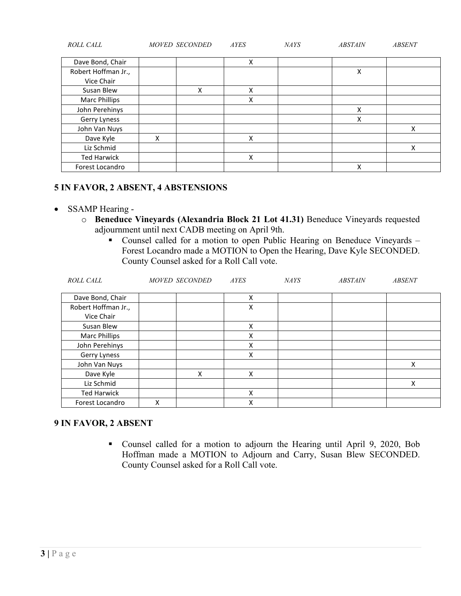| ROLL CALL            | MOVED SECONDED |   | <b>AYES</b> | NAYS | <b>ABSTAIN</b> | <b>ABSENT</b> |
|----------------------|----------------|---|-------------|------|----------------|---------------|
| Dave Bond, Chair     |                |   | X           |      |                |               |
| Robert Hoffman Jr.,  |                |   |             |      | Χ              |               |
| Vice Chair           |                |   |             |      |                |               |
| Susan Blew           |                | Χ | X           |      |                |               |
| <b>Marc Phillips</b> |                |   | X           |      |                |               |
| John Perehinys       |                |   |             |      | X              |               |
| Gerry Lyness         |                |   |             |      | X              |               |
| John Van Nuys        |                |   |             |      |                | Χ             |
| Dave Kyle            | x              |   | X           |      |                |               |
| Liz Schmid           |                |   |             |      |                | Χ             |
| <b>Ted Harwick</b>   |                |   | X           |      |                |               |
| Forest Locandro      |                |   |             |      | X              |               |

## **5 IN FAVOR, 2 ABSENT, 4 ABSTENSIONS**

## • SSAMP Hearing -

- o **Beneduce Vineyards (Alexandria Block 21 Lot 41.31)** Beneduce Vineyards requested adjournment until next CADB meeting on April 9th.
	- Counsel called for a motion to open Public Hearing on Beneduce Vineyards Forest Locandro made a MOTION to Open the Hearing, Dave Kyle SECONDED. County Counsel asked for a Roll Call vote.

| ROLL CALL            | MOVED SECONDED | <b>AYES</b> | <b>NAYS</b> | <b>ABSTAIN</b> | <b>ABSENT</b> |
|----------------------|----------------|-------------|-------------|----------------|---------------|
|                      |                |             |             |                |               |
| Dave Bond, Chair     |                | Χ           |             |                |               |
| Robert Hoffman Jr.,  |                | Χ           |             |                |               |
| Vice Chair           |                |             |             |                |               |
| Susan Blew           |                | x           |             |                |               |
| <b>Marc Phillips</b> |                | х           |             |                |               |
| John Perehinys       |                | Χ           |             |                |               |
| Gerry Lyness         |                | Χ           |             |                |               |
| John Van Nuys        |                |             |             |                | x             |
| Dave Kyle            | X              | Χ           |             |                |               |
| Liz Schmid           |                |             |             |                | х             |
| <b>Ted Harwick</b>   |                | x           |             |                |               |
| Forest Locandro      | Χ              | Χ           |             |                |               |

## **9 IN FAVOR, 2 ABSENT**

 Counsel called for a motion to adjourn the Hearing until April 9, 2020, Bob Hoffman made a MOTION to Adjourn and Carry, Susan Blew SECONDED. County Counsel asked for a Roll Call vote.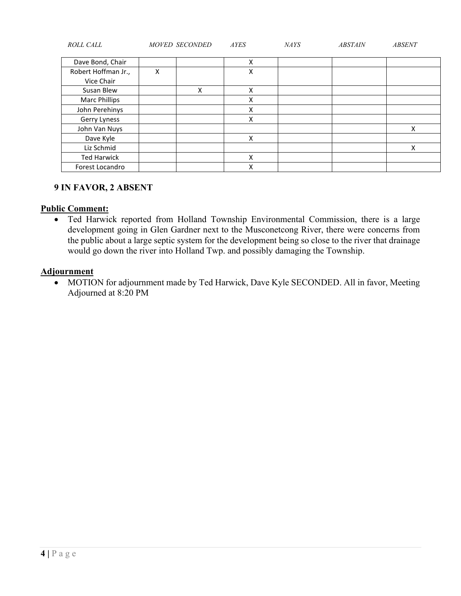| ROLL CALL                | MOVED SECONDED |   | <b>AYES</b> | <b>NAYS</b> | <b>ABSTAIN</b> | <b>ABSENT</b> |
|--------------------------|----------------|---|-------------|-------------|----------------|---------------|
| Dave Bond, Chair         |                |   | Χ           |             |                |               |
| Robert Hoffman Jr.,      | x              |   | Χ           |             |                |               |
| Vice Chair<br>Susan Blew |                | x | Χ           |             |                |               |
| <b>Marc Phillips</b>     |                |   | Χ           |             |                |               |
| John Perehinys           |                |   | Χ           |             |                |               |
| Gerry Lyness             |                |   | Χ           |             |                |               |
| John Van Nuys            |                |   |             |             |                | Χ             |
| Dave Kyle                |                |   | x           |             |                |               |
| Liz Schmid               |                |   |             |             |                | X             |
| <b>Ted Harwick</b>       |                |   | Χ           |             |                |               |
| Forest Locandro          |                |   | Χ           |             |                |               |

## **9 IN FAVOR, 2 ABSENT**

## **Public Comment:**

• Ted Harwick reported from Holland Township Environmental Commission, there is a large development going in Glen Gardner next to the Musconetcong River, there were concerns from the public about a large septic system for the development being so close to the river that drainage would go down the river into Holland Twp. and possibly damaging the Township.

## **Adjournment**

• MOTION for adjournment made by Ted Harwick, Dave Kyle SECONDED. All in favor, Meeting Adjourned at 8:20 PM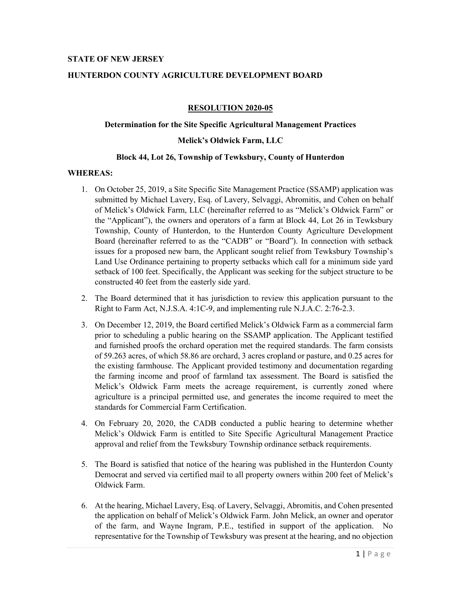#### **STATE OF NEW JERSEY**

#### **HUNTERDON COUNTY AGRICULTURE DEVELOPMENT BOARD**

#### **RESOLUTION 2020-05**

#### **Determination for the Site Specific Agricultural Management Practices**

#### **Melick's Oldwick Farm, LLC**

#### **Block 44, Lot 26, Township of Tewksbury, County of Hunterdon**

#### **WHEREAS:**

- 1. On October 25, 2019, a Site Specific Site Management Practice (SSAMP) application was submitted by Michael Lavery, Esq. of Lavery, Selvaggi, Abromitis, and Cohen on behalf of Melick's Oldwick Farm, LLC (hereinafter referred to as "Melick's Oldwick Farm" or the "Applicant"), the owners and operators of a farm at Block 44, Lot 26 in Tewksbury Township, County of Hunterdon, to the Hunterdon County Agriculture Development Board (hereinafter referred to as the "CADB" or "Board"). In connection with setback issues for a proposed new barn, the Applicant sought relief from Tewksbury Township's Land Use Ordinance pertaining to property setbacks which call for a minimum side yard setback of 100 feet. Specifically, the Applicant was seeking for the subject structure to be constructed 40 feet from the easterly side yard.
- 2. The Board determined that it has jurisdiction to review this application pursuant to the Right to Farm Act, N.J.S.A. 4:1C-9, and implementing rule N.J.A.C. 2:76-2.3.
- 3. On December 12, 2019, the Board certified Melick's Oldwick Farm as a commercial farm prior to scheduling a public hearing on the SSAMP application. The Applicant testified and furnished proofs the orchard operation met the required standards. The farm consists of 59.263 acres, of which 58.86 are orchard, 3 acres cropland or pasture, and 0.25 acres for the existing farmhouse. The Applicant provided testimony and documentation regarding the farming income and proof of farmland tax assessment. The Board is satisfied the Melick's Oldwick Farm meets the acreage requirement, is currently zoned where agriculture is a principal permitted use, and generates the income required to meet the standards for Commercial Farm Certification.
- 4. On February 20, 2020, the CADB conducted a public hearing to determine whether Melick's Oldwick Farm is entitled to Site Specific Agricultural Management Practice approval and relief from the Tewksbury Township ordinance setback requirements.
- 5. The Board is satisfied that notice of the hearing was published in the Hunterdon County Democrat and served via certified mail to all property owners within 200 feet of Melick's Oldwick Farm.
- 6. At the hearing, Michael Lavery, Esq. of Lavery, Selvaggi, Abromitis, and Cohen presented the application on behalf of Melick's Oldwick Farm. John Melick, an owner and operator of the farm, and Wayne Ingram, P.E., testified in support of the application. No representative for the Township of Tewksbury was present at the hearing, and no objection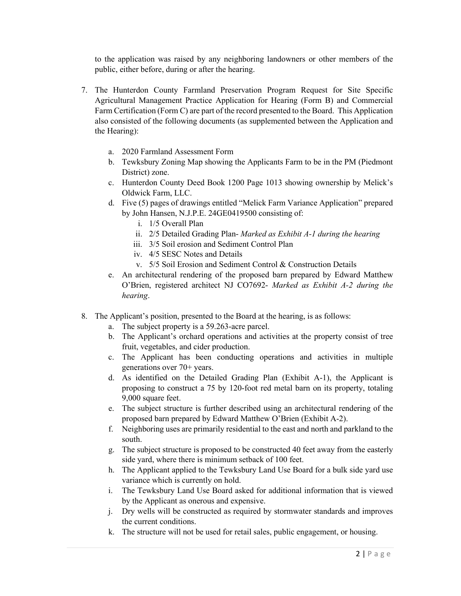to the application was raised by any neighboring landowners or other members of the public, either before, during or after the hearing.

- 7. The Hunterdon County Farmland Preservation Program Request for Site Specific Agricultural Management Practice Application for Hearing (Form B) and Commercial Farm Certification (Form C) are part of the record presented to the Board. This Application also consisted of the following documents (as supplemented between the Application and the Hearing):
	- a. 2020 Farmland Assessment Form
	- b. Tewksbury Zoning Map showing the Applicants Farm to be in the PM (Piedmont District) zone.
	- c. Hunterdon County Deed Book 1200 Page 1013 showing ownership by Melick's Oldwick Farm, LLC.
	- d. Five (5) pages of drawings entitled "Melick Farm Variance Application" prepared by John Hansen, N.J.P.E. 24GE0419500 consisting of:
		- i. 1/5 Overall Plan
		- ii. 2/5 Detailed Grading Plan- *Marked as Exhibit A-1 during the hearing*
		- iii. 3/5 Soil erosion and Sediment Control Plan
		- iv. 4/5 SESC Notes and Details
		- v. 5/5 Soil Erosion and Sediment Control & Construction Details
	- e. An architectural rendering of the proposed barn prepared by Edward Matthew O'Brien, registered architect NJ CO7692- *Marked as Exhibit A-2 during the hearing*.
- 8. The Applicant's position, presented to the Board at the hearing, is as follows:
	- a. The subject property is a 59.263-acre parcel.
	- b. The Applicant's orchard operations and activities at the property consist of tree fruit, vegetables, and cider production.
	- c. The Applicant has been conducting operations and activities in multiple generations over 70+ years.
	- d. As identified on the Detailed Grading Plan (Exhibit A-1), the Applicant is proposing to construct a 75 by 120-foot red metal barn on its property, totaling 9,000 square feet.
	- e. The subject structure is further described using an architectural rendering of the proposed barn prepared by Edward Matthew O'Brien (Exhibit A-2).
	- f. Neighboring uses are primarily residential to the east and north and parkland to the south.
	- g. The subject structure is proposed to be constructed 40 feet away from the easterly side yard, where there is minimum setback of 100 feet.
	- h. The Applicant applied to the Tewksbury Land Use Board for a bulk side yard use variance which is currently on hold.
	- i. The Tewksbury Land Use Board asked for additional information that is viewed by the Applicant as onerous and expensive.
	- j. Dry wells will be constructed as required by stormwater standards and improves the current conditions.
	- k. The structure will not be used for retail sales, public engagement, or housing.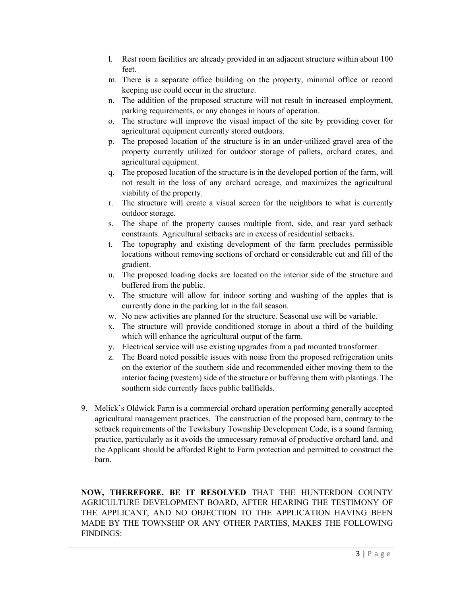- l. Rest room facilities are already provided in an adjacent structure within about 100 feet.
- m. There is a separate office building on the property, minimal office or record keeping use could occur in the structure.
- n. The addition of the proposed structure will not result in increased employment, parking requirements, or any changes in hours of operation.
- o. The structure will improve the visual impact of the site by providing cover for agricultural equipment currently stored outdoors.
- p. The proposed location of the structure is in an under-utilized gravel area of the property currently utilized for outdoor storage of pallets, orchard crates, and agricultural equipment.
- q. The proposed location of the structure is in the developed portion of the farm, will not result in the loss of any orchard acreage, and maximizes the agricultural viability of the property.
- r. The structure will create a visual screen for the neighbors to what is currently outdoor storage.
- s. The shape of the property causes multiple front, side, and rear yard setback constraints. Agricultural setbacks are in excess of residential setbacks.
- t. The topography and existing development of the farm precludes permissible locations without removing sections of orchard or considerable cut and fill of the gradient.
- u. The proposed loading docks are located on the interior side of the structure and buffered from the public.
- v. The structure will allow for indoor sorting and washing of the apples that is currently done in the parking lot in the fall season.
- w. No new activities are planned for the structure. Seasonal use will be variable.
- x. The structure will provide conditioned storage in about a third of the building which will enhance the agricultural output of the farm.
- y. Electrical service will use existing upgrades from a pad mounted transformer.
- z. The Board noted possible issues with noise from the proposed refrigeration units on the exterior of the southern side and recommended either moving them to the interior facing (western) side of the structure or buffering them with plantings. The southern side currently faces public ballfields.
- 9. Melick's Oldwick Farm is a commercial orchard operation performing generally accepted agricultural management practices. The construction of the proposed barn, contrary to the setback requirements of the Tewksbury Township Development Code, is a sound farming practice, particularly as it avoids the unnecessary removal of productive orchard land, and the Applicant should be afforded Right to Farm protection and permitted to construct the barn.

**NOW, THEREFORE, BE IT RESOLVED** THAT THE HUNTERDON COUNTY AGRICULTURE DEVELOPMENT BOARD, AFTER HEARING THE TESTIMONY OF THE APPLICANT, AND NO OBJECTION TO THE APPLICATION HAVING BEEN MADE BY THE TOWNSHIP OR ANY OTHER PARTIES, MAKES THE FOLLOWING FINDINGS: